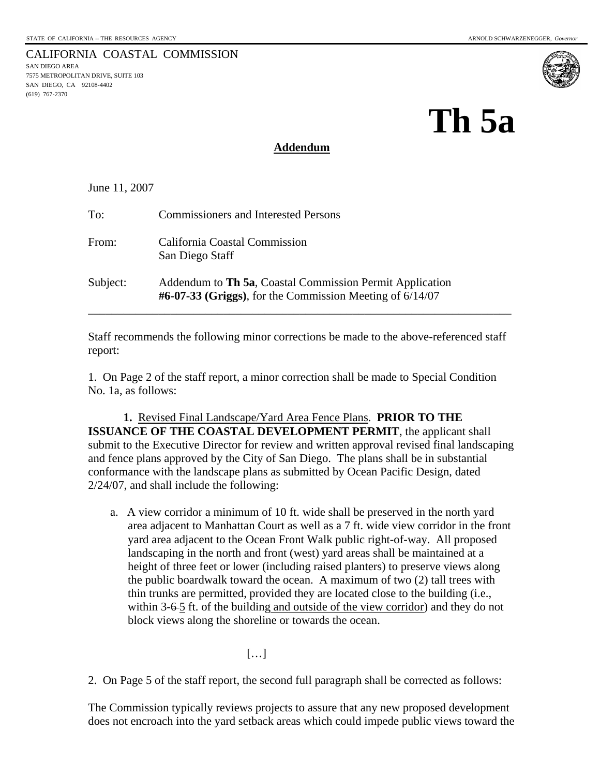7575 METROPOLITAN DRIVE, SUITE 103 SAN DIEGO, CA 92108-4402

(619) 767-2370

CALIFORNIA COASTAL COMMISSION SAN DIEGO AREA



# **Th 5a**

#### **Addendum**

June 11, 2007

| To:      | <b>Commissioners and Interested Persons</b>                                                                             |
|----------|-------------------------------------------------------------------------------------------------------------------------|
| From:    | California Coastal Commission<br>San Diego Staff                                                                        |
| Subject: | Addendum to Th 5a, Coastal Commission Permit Application<br>$\#6-07-33$ (Griggs), for the Commission Meeting of 6/14/07 |

Staff recommends the following minor corrections be made to the above-referenced staff report:

1. On Page 2 of the staff report, a minor correction shall be made to Special Condition No. 1a, as follows:

 **1.** Revised Final Landscape/Yard Area Fence Plans. **PRIOR TO THE ISSUANCE OF THE COASTAL DEVELOPMENT PERMIT**, the applicant shall submit to the Executive Director for review and written approval revised final landscaping and fence plans approved by the City of San Diego. The plans shall be in substantial conformance with the landscape plans as submitted by Ocean Pacific Design, dated 2/24/07, and shall include the following:

a. A view corridor a minimum of 10 ft. wide shall be preserved in the north yard area adjacent to Manhattan Court as well as a 7 ft. wide view corridor in the front yard area adjacent to the Ocean Front Walk public right-of-way. All proposed landscaping in the north and front (west) yard areas shall be maintained at a height of three feet or lower (including raised planters) to preserve views along the public boardwalk toward the ocean. A maximum of two (2) tall trees with thin trunks are permitted, provided they are located close to the building (i.e., within 3-6-5 ft. of the building and outside of the view corridor) and they do not block views along the shoreline or towards the ocean.

 $[\dots]$ 

2. On Page 5 of the staff report, the second full paragraph shall be corrected as follows:

The Commission typically reviews projects to assure that any new proposed development does not encroach into the yard setback areas which could impede public views toward the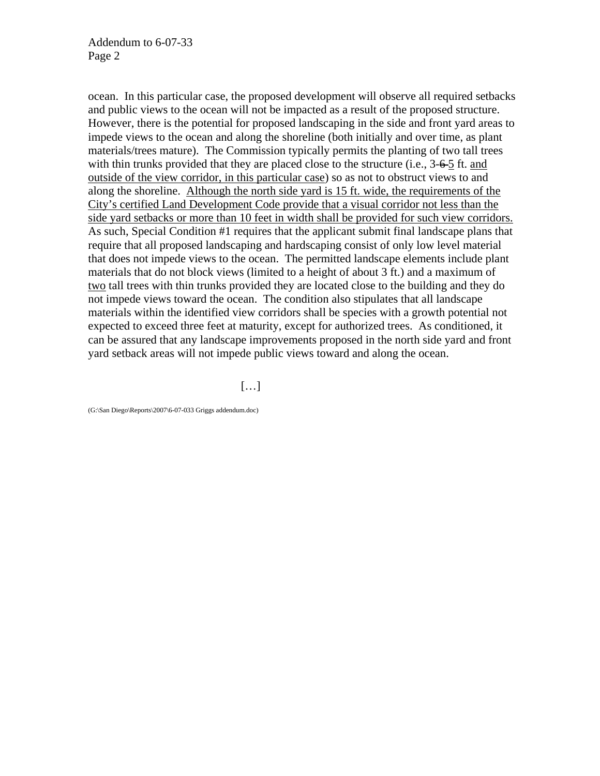ocean. In this particular case, the proposed development will observe all required setbacks and public views to the ocean will not be impacted as a result of the proposed structure. However, there is the potential for proposed landscaping in the side and front yard areas to impede views to the ocean and along the shoreline (both initially and over time, as plant materials/trees mature). The Commission typically permits the planting of two tall trees with thin trunks provided that they are placed close to the structure (i.e., 3-6-5 ft. and outside of the view corridor, in this particular case) so as not to obstruct views to and along the shoreline. Although the north side yard is 15 ft. wide, the requirements of the City's certified Land Development Code provide that a visual corridor not less than the side yard setbacks or more than 10 feet in width shall be provided for such view corridors. As such, Special Condition #1 requires that the applicant submit final landscape plans that require that all proposed landscaping and hardscaping consist of only low level material that does not impede views to the ocean. The permitted landscape elements include plant materials that do not block views (limited to a height of about 3 ft.) and a maximum of two tall trees with thin trunks provided they are located close to the building and they do not impede views toward the ocean. The condition also stipulates that all landscape materials within the identified view corridors shall be species with a growth potential not expected to exceed three feet at maturity, except for authorized trees. As conditioned, it can be assured that any landscape improvements proposed in the north side yard and front yard setback areas will not impede public views toward and along the ocean.

[…]

(G:\San Diego\Reports\2007\6-07-033 Griggs addendum.doc)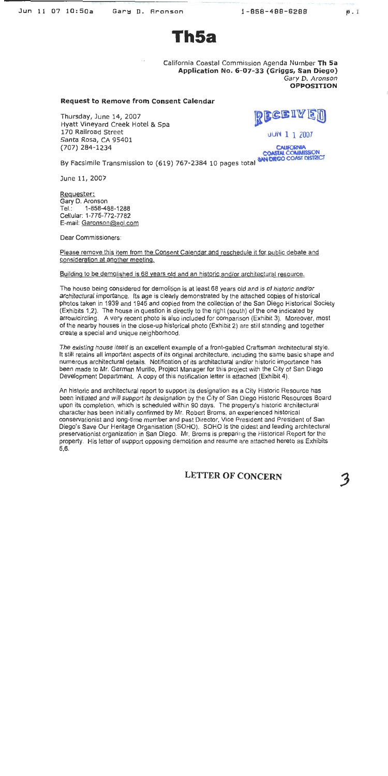$p.1$ 

Th5a

California Coastal Commission Agenda Number Th 5a Application No. 6-07-33 (Griggs, San Diego) Gary D. Aronson **OPPOSITION** 

#### **Request to Remove from Consent Calendar**

Thursday, June 14, 2007 Hyatt Vineyard Creek Hotel & Spa 170 Railroad Street Santa Rosa, CA 95401 (707) 284-1234

RECEIVE

 $JUN$  1 1 2007

**CALIFORNIA** COASTAL COMMISSION<br>SAN DIEGO COAST DISTRICT

By Facsimile Transmission to (619) 767-2384 10 pages total

June 11, 2007

Requester: Gary D. Aronson Tel∴ 1-858-488-1288 Cellular: 1-775-772-7782 E-mail: Garonson@aol.com

Dear Commissioners:

Please remove this item from the Consent Calendar and reschedule it for public debate and consideration at another meeting.

#### Building to be demolished is 68 years old and an historic and/or architectural resource.

The house being considered for demolition is at least 68 years old and is of historic and/or architectural importance. Its age is clearly demonstrated by the attached copies of historical photos taken in 1939 and 1945 and copied from the collection of the San Diego Historical Society (Exhibits 1,2). The house in question is directly to the right (south) of the one indicated by arrow/circling. A very recent photo is also included for comparison (Exhibit 3). Moreover, most of the nearby houses in the close-up historical photo (Exhibit 2) are still standing and together create a special and unique neighborhood.

The existing house itself is an excellent example of a front-gabled Craftsman architectural style. It still retains all important aspects of its original architecture, including the same basic shape and numerous architectural details. Notification of its architectural and/or historic importance has been made to Mr. German Murillo, Project Manager for this project with the City of San Diego Development Department. A copy of this notification letter is attached (Exhibit 4).

An historic and architectural report to support its designation as a City Historic Resource has been initiated and will support its designation by the City of San Diego Historic Resources Board upon its completion, which is scheduled within 90 days. The property's historic architectural character has been initially confirmed by Mr. Robert Broms, an experienced historical conservationist and long-time member and past Director, Vice President and President of San Diego's Save Our Heritage Organisation (SOHO). SOHO is the oldest and leading architectural preservationist organization in San Diego. Mr. Broms is preparing the Historical Report for the property. His letter of support opposing demolition and resume are attached hereto as Exhibits 5.6.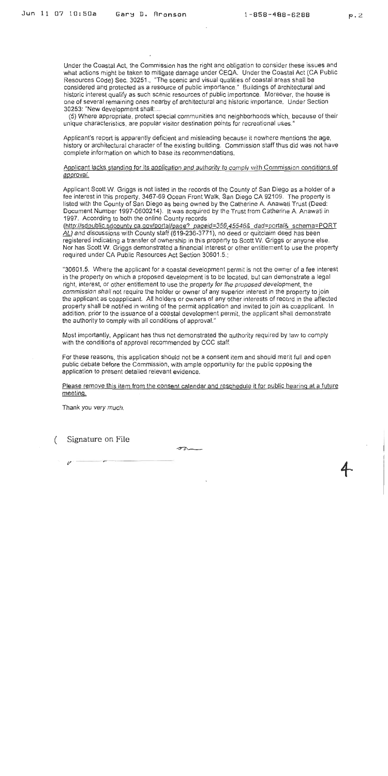Under the Coastal Act, the Commission has the right and obligation to consider these issues and what actions might be taken to mitigate damage under CEQA. Under the Coastal Act (CA Public Resources Code) Sec. 30251. "The scenic and visual qualities of coastal areas shall be considered and protected as a resource of public importance." Buildings of architectural and historic interest qualify as such scenic resources of public importance. Moreover, the house is one of several remaining ones nearby of architectural and historic importance. Under Section 30253: "New development shall:...

(5) Where appropriate, protect special communities and neighborhoods which, because of their unique characteristics, are popular visitor destination points for recreational uses."

Applicant's report is apparently deficient and misleading because it nowhere mentions the age. history or architectural character of the existing building. Commission staff thus did was not have complete information on which to base its recommendations.

Applicant lacks standing for its application and authority to comply with Commission conditions of approval.

Applicant Scott W. Griggs is not listed in the records of the County of San Diego as a holder of a fee interest in this property, 3467-69 Ocean Front Walk, San Diego CA 92109. The property is listed with the County of San Diego as being owned by the Catherine A. Anawati Trust (Deed: Document Number 1997-0600214). It was acquired by the Trust from Catherine A. Anawati in 1997. According to both the online County records

(http://sdpublic.sdcounty.ca.gov/portal/page?\_pageid=356,45546&\_dad=portal&\_schema=PORT AL) and discussions with County staff (619-236-3771), no deed or quitclaim deed has been registered indicating a transfer of ownership in this property to Scott W. Griggs or anyone else. Nor has Scott W. Griggs demonstrated a financial interest or other entitlement to use the property required under CA Public Resources Act Section 30601.5.;

"30601.5. Where the applicant for a coastal development permit is not the owner of a fee interest in the property on which a proposed development is to be located, but can demonstrate a legal right, interest, or other entitlement to use the property for the proposed development, the commission shall not require the holder or owner of any superior interest in the property to join the applicant as coapplicant. All holders or owners of any other interests of record in the affected property shall be notified in writing of the permit application and invited to join as coapplicant. In addition, prior to the issuance of a coastal development permit, the applicant shall demonstrate the authority to comply with all conditions of approval."

Most importantly. Applicant has thus not demonstrated the authority required by law to comply with the conditions of approval recommended by CCC staff.

For these reasons, this application should not be a consent item and should merit full and open public debate before the Commission, with ample opportunity for the public opposing the application to present detailed relevant evidence.

Please remove this item from the consent calendar and reschedule it for public hearing at a future meeting.

Thank you very much.

Signature on File  $\left($ 

 $\sigma$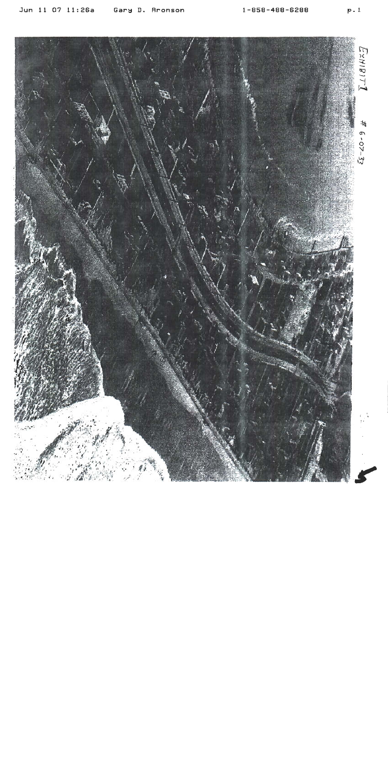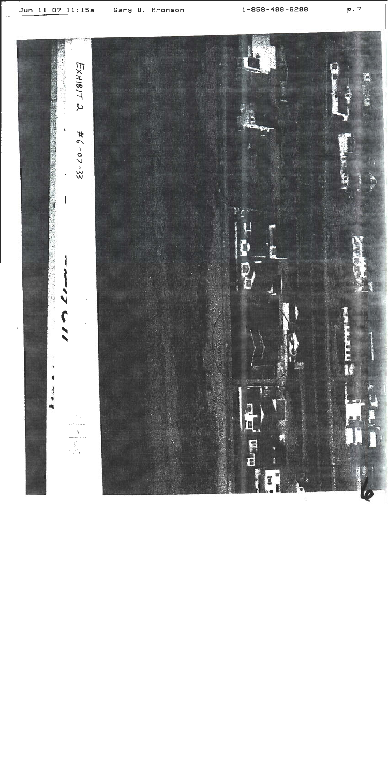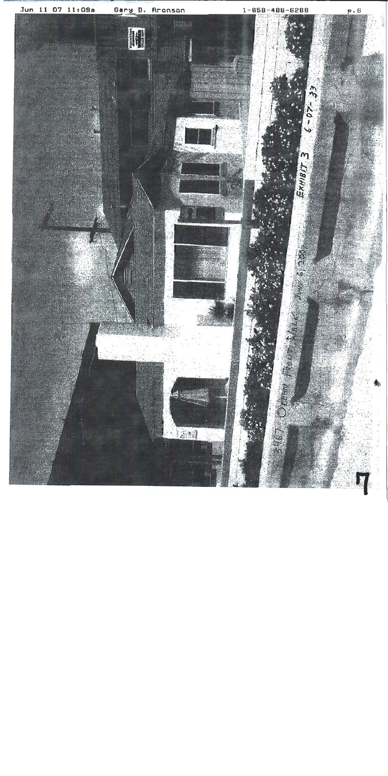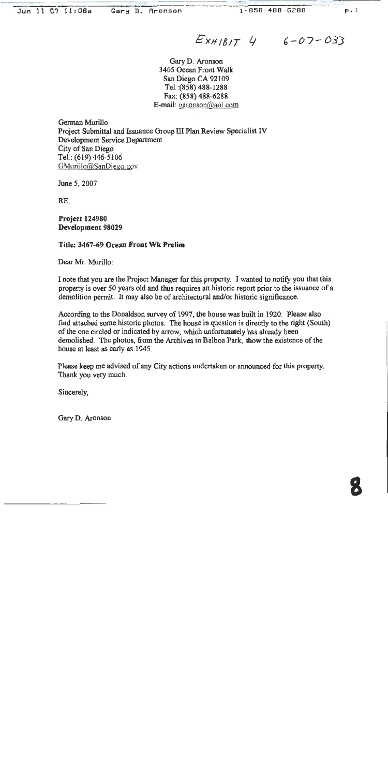$E_{XH/B/T}$  4 6-07-033

Gary D. Aronson 3465 Ocean Front Walk San Diego CA 92109 Tel.: (858) 488-1288 Fax: (858) 488-6288 E-mail: garonson@aol.com

German Murillo Project Submittal and Issuance Group III Plan Review Specialist IV **Development Service Department** City of San Diego Tel.: (619) 446-5106 GMurillo@SanDiego.gov

June 5, 2007

 $RE:$ 

**Project 124980** Development 98029

#### Title: 3467-69 Ocean Front Wk Prelim

Dear Mr. Murillo:

I note that you are the Project Manager for this property. I wanted to notify you that this property is over 50 years old and thus requires an historic report prior to the issuance of a demolition permit. It may also be of architectural and/or historic significance.

According to the Donaldson survey of 1997, the house was built in 1920. Please also find attached some historic photos. The house in question is directly to the right (South) of the one circled or indicated by arrow, which unfortunately has already been demolished. The photos, from the Archives in Balboa Park, show the existence of the house at least as early as 1945.

Please keep me advised of any City actions undertaken or announced for this property. Thank you very much.

Sincerely,

Gary D. Aronson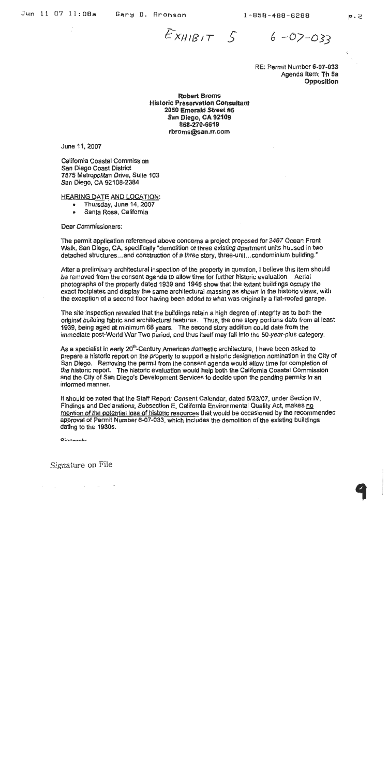$E_{XHIBIT}$   $S$ 

 $6 - 07 - 033$ 

RE: Permit Number 6-07-033 Agenda Item: Th 5a **Opposition** 

**Robert Broms Historic Preservation Consultant** 2050 Emerald Street #5 San Diego, CA 92109 858-270-6619 rbroms@san.rr.com

June 11, 2007

California Coastal Commission San Diego Coast District 7575 Metropolitan Drive, Suite 103 San Diego, CA 92108-2384

**HEARING DATE AND LOCATION:** 

- Thursday, June 14, 2007
- Santa Rosa, California

Dear Commissioners:

The permit application referenced above concerns a project proposed for 3467 Ocean Front Walk, San Diego, CA, specifically "demolition of three existing apartment units housed in two detached structures...and construction of a three story, three-unit...condominium building."

After a preliminary architectural inspection of the property in question, I believe this item should be removed from the consent agenda to allow time for further historic evaluation. Aerial photographs of the property dated 1939 and 1945 show that the extant buildings occupy the exact footplates and display the same architectural massing as shown in the historic views, with the exception of a second floor having been added to what was originally a flat-roofed garage.

The site inspection revealed that the buildings retain a high degree of Integrity as to both the original building fabric and architectural features. Thus, the one story portions date from at least 1939, being aged at minimum 68 years. The second story addition could date from the immediate post-World War Two period, and thus itself may fall into the 50-year-plus category.

As a specialist in early 20<sup>th</sup>-Century American domestic architecture, I have been asked to prepare a historic report on the property to support a historic designation nomination in the City of San Diego. Removing the permit from the consent agenda would allow time for completion of the historic report. The historic evaluation would help both the California Coastal Commission and the City of San Diego's Development Services to decide upon the pending permits in an informed manner.

It should be noted that the Staff Report: Consent Calendar, dated 5/23/07, under Section IV, Findings and Declarations, Subsection E, California Environmental Quality Act, makes no mention of the potential loss of historic resources that would be occasioned by the recommended approval of Permit Number 6-07-033, which includes the demolition of the existing buildings dating to the 1930s.

Cinnaratu

Signature on File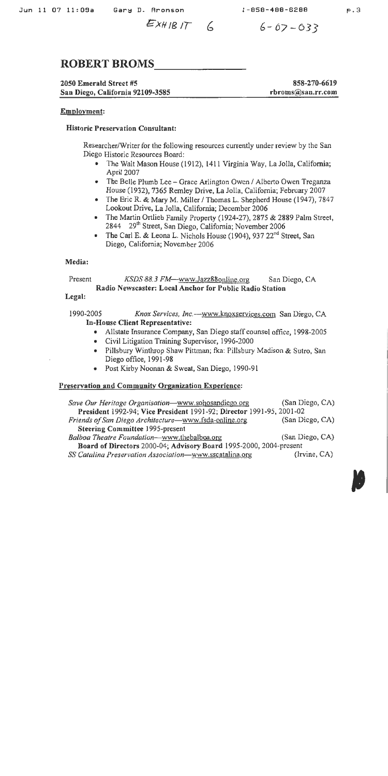$EXHIBIT$   $6$   $6-07-033$ 

## **ROBERT BROMS**

#### 2050 Emerald Street #5 San Diego, California 92109-3585

858-270-6619 rbroms@san.rr.com

#### Employment:

#### **Historic Preservation Consultant:**

Researcher/Writer for the following resources currently under review by the San Diego Historic Resources Board:

- The Walt Mason House (1912), 1411 Virginia Way, La Jolla, California; April 2007
- The Belle Plumb Lee Grace Arlington Owen / Alberto Owen Treganza House (1932), 7365 Remley Drive, La Jolla, California; February 2007
- The Eric R. & Mary M. Miller / Thomas L. Shepherd House (1947), 7847 Lookout Drive, La Jolla, California; December 2006
- The Martin Ortlieb Family Property (1924-27), 2875 & 2889 Palm Street, 2844 29th Street, San Diego, California; November 2006
- The Carl E. & Leona L. Nichols House (1904), 937 22<sup>nd</sup> Street, San Diego, California; November 2006

#### Media:

#### Present KSDS 88.3 FM—www.Jazz88online.org San Diego, CA Radio Newscaster: Local Anchor for Public Radio Station

#### Legal:

1990-2005 Knox Services, Inc.---- www.knoxservices.com San Diego, CA In-House Client Representative:

- Allstate Insurance Company, San Diego staff counsel office, 1998-2005
- Civil Litigation Training Supervisor, 1996-2000
- . Pillsbury Winthrop Shaw Pittman; fka: Pillsbury Madison & Sutro, San Diego office, 1991-98
- Post Kirby Noonan & Sweat, San Diego, 1990-91

#### Preservation and Community Organization Experience:

| Save Our Heritage Organisation-www.sohosandiego.org                  | (San Diego, CA) |  |  |
|----------------------------------------------------------------------|-----------------|--|--|
| President 1992-94; Vice President 1991-92; Director 1991-95, 2001-02 |                 |  |  |
| Friends of San Diego Architecture-www.fsda-online.org                | (San Dicgo, CA) |  |  |
| <b>Steering Committee 1995-present</b>                               |                 |  |  |
| Balboa Theatre Foundation-www.thebalboa.org                          | (San Diego, CA) |  |  |
| Board of Directors 2000-04; Advisory Board 1995-2000, 2004-present   |                 |  |  |
| SS Catalina Preservation Association-www.sscatalina.org              | (Irvine, CA)    |  |  |

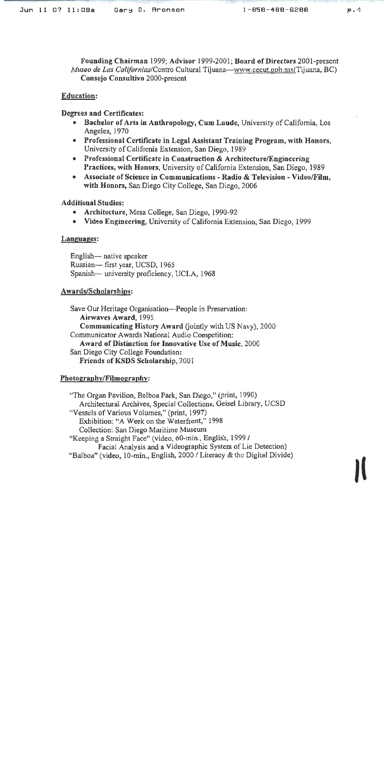Founding Chairman 1999; Advisor 1999-2001; Board of Directors 2001-present Museo de Las Californias/Centro Cultural Tijuana—www.cecut.gob.mx(Tijuana, BC) **Consejo Consultivo 2000-present** 

#### **Education:**

#### Degrees and Certificates:

- Bachelor of Arts in Anthropology, Cum Laude, University of California, Los Angeles, 1970
- Professional Certificate in Legal Assistant Training Program, with Honors, University of California Extension, San Diego, 1989
- Professional Certificate in Construction & Architecture/Engineering Practices, with Honors, University of California Extension, San Diego, 1989
- Associate of Science in Communications Radio & Television Video/Film. with Honors, San Diego City College, San Diego, 2006

#### **Additional Studies:**

- Architecture, Mesa College, San Diego, 1990-92  $\bullet$
- Video Engineering, University of California Extension, San Diego, 1999

#### Languages:

English— native speaker Russian-- first year, UCSD, 1965 Spanish-university proficiency, UCLA, 1968

#### Awards/Scholarships:

Save Our Heritage Organisation—People in Preservation: Airwaves Award, 1995 Communicating History Award (jointly with US Navy), 2000 Communicator Awards National Audio Competition: Award of Distinction for Innovative Use of Music, 2000 San Diego City College Foundation: Friends of KSDS Scholarship, 2001

#### Photography/Filmography:

"The Organ Pavilion, Balboa Park, San Diego," (print, 1990) Architectural Archives, Special Collections, Geisel Library, UCSD "Vessels of Various Volumes," (print, 1997) Exhibition: "A Week on the Waterfront," 1998 Collection: San Diego Maritime Museum "Keeping a Straight Face" (video, 60-min., English, 1999 / Facial Analysis and a Videographic System of Lie Detection) "Balboa" (video, 10-min., English, 2000 / Literacy & the Digital Divide)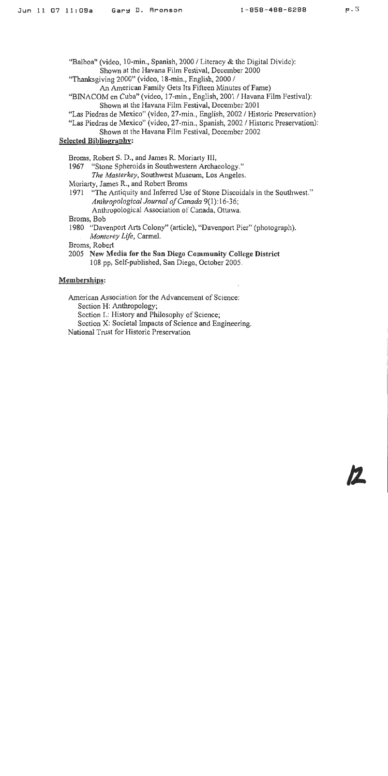"Balboa" (video, 10-min., Spanish, 2000 / Literacy & the Digital Divide): Shown at the Havana Film Festival, December 2000

"Thanksgiving 2000" (video, 18-min., English, 2000 /

An American Family Gets Its Fifteen Minutes of Fame)

- "BINACOM en Cuba" (video, 17-min., English, 2001 / Havana Film Festival): Shown at the Havana Film Festival, December 2001
- "Las Piedras de Mexico" (video, 27-min., English, 2002 / Historic Preservation)

"Las Piedras de Mexico" (video, 27-min., Spanish, 2002 / Historic Preservation):

Shown at the Havana Film Festival, December 2002

**Selected Bibliography:** 

Broms, Robert S. D., and James R. Moriarty III,

1967 "Stone Spheroids in Southwestern Archaeology."

The Masterkey, Southwest Museum, Los Angeles.

Moriarty, James R., and Robert Broms

1971 "The Antiquity and Inferred Use of Stone Discoidals in the Southwest." Anthropological Journal of Canada 9(1):16-36; Anthropological Association of Canada, Ottawa.

Broms, Bob

1980 "Davenport Arts Colony" (article), "Davenport Pier" (photograph). Monterey Life, Carmel.

Broms, Robert

2005 New Media for the San Diego Community College District 108 pp, Self-published, San Diego, October 2005.

### Memberships:

American Association for the Advancement of Science:

Section H: Anthropology;

Section L: History and Philosophy of Science;

Section X: Societal Impacts of Science and Engineering.

National Trust for Historic Preservation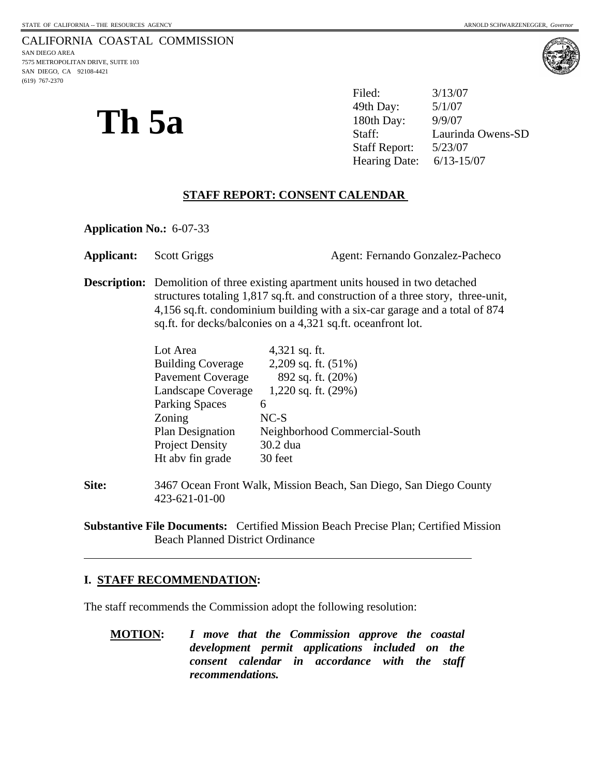(619) 767-2370



**Th 5a** <sup>49th Day: 5/1/07<br>180th Day: 9/9/07<br>Staff: Lauring</sup> Filed: 3/13/07 49th Day: Laurinda Owens-SD Staff Report: 5/23/07 Hearing Date: 6/13-15/07

#### **STAFF REPORT: CONSENT CALENDAR**

**Application No.:** 6-07-33

Applicant: Scott Griggs Agent: Fernando Gonzalez-Pacheco

**Description:** Demolition of three existing apartment units housed in two detached structures totaling 1,817 sq.ft. and construction of a three story, three-unit, 4,156 sq.ft. condominium building with a six-car garage and a total of 874 sq.ft. for decks/balconies on a 4,321 sq.ft. oceanfront lot.

| Lot Area                 | 4,321 sq. ft.                 |
|--------------------------|-------------------------------|
| <b>Building Coverage</b> | 2,209 sq. ft. (51%)           |
| <b>Pavement Coverage</b> | 892 sq. ft. (20%)             |
| Landscape Coverage       | 1,220 sq. ft. (29%)           |
| <b>Parking Spaces</b>    | 6                             |
| Zoning                   | $NC-S$                        |
| <b>Plan Designation</b>  | Neighborhood Commercial-South |
| <b>Project Density</b>   | 30.2 dua                      |
| Ht abv fin grade         | 30 feet                       |

**Site:** 3467 Ocean Front Walk, Mission Beach, San Diego, San Diego County 423-621-01-00

**Substantive File Documents:** Certified Mission Beach Precise Plan; Certified Mission Beach Planned District Ordinance

#### **I. STAFF RECOMMENDATION:**

l

The staff recommends the Commission adopt the following resolution:

**MOTION:** *I move that the Commission approve the coastal development permit applications included on the consent calendar in accordance with the staff recommendations.*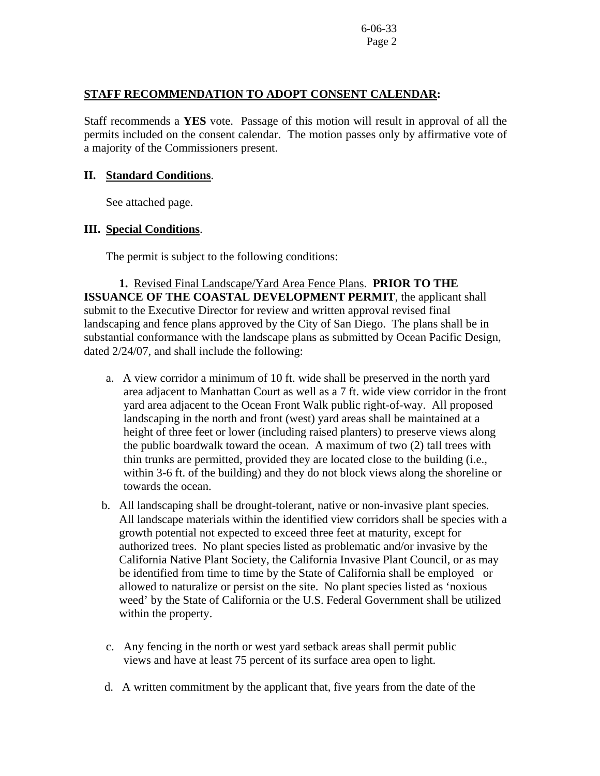#### **STAFF RECOMMENDATION TO ADOPT CONSENT CALENDAR:**

Staff recommends a **YES** vote. Passage of this motion will result in approval of all the permits included on the consent calendar. The motion passes only by affirmative vote of a majority of the Commissioners present.

#### **II. Standard Conditions**.

See attached page.

#### **III. Special Conditions**.

The permit is subject to the following conditions:

 **1.** Revised Final Landscape/Yard Area Fence Plans. **PRIOR TO THE ISSUANCE OF THE COASTAL DEVELOPMENT PERMIT, the applicant shall** submit to the Executive Director for review and written approval revised final landscaping and fence plans approved by the City of San Diego. The plans shall be in substantial conformance with the landscape plans as submitted by Ocean Pacific Design, dated 2/24/07, and shall include the following:

- a. A view corridor a minimum of 10 ft. wide shall be preserved in the north yard area adjacent to Manhattan Court as well as a 7 ft. wide view corridor in the front yard area adjacent to the Ocean Front Walk public right-of-way. All proposed landscaping in the north and front (west) yard areas shall be maintained at a height of three feet or lower (including raised planters) to preserve views along the public boardwalk toward the ocean. A maximum of two (2) tall trees with thin trunks are permitted, provided they are located close to the building (i.e., within 3-6 ft. of the building) and they do not block views along the shoreline or towards the ocean.
- b. All landscaping shall be drought-tolerant, native or non-invasive plant species. All landscape materials within the identified view corridors shall be species with a growth potential not expected to exceed three feet at maturity, except for authorized trees. No plant species listed as problematic and/or invasive by the California Native Plant Society, the California Invasive Plant Council, or as may be identified from time to time by the State of California shall be employed or allowed to naturalize or persist on the site. No plant species listed as 'noxious weed' by the State of California or the U.S. Federal Government shall be utilized within the property.
- c. Any fencing in the north or west yard setback areas shall permit public views and have at least 75 percent of its surface area open to light.
- d. A written commitment by the applicant that, five years from the date of the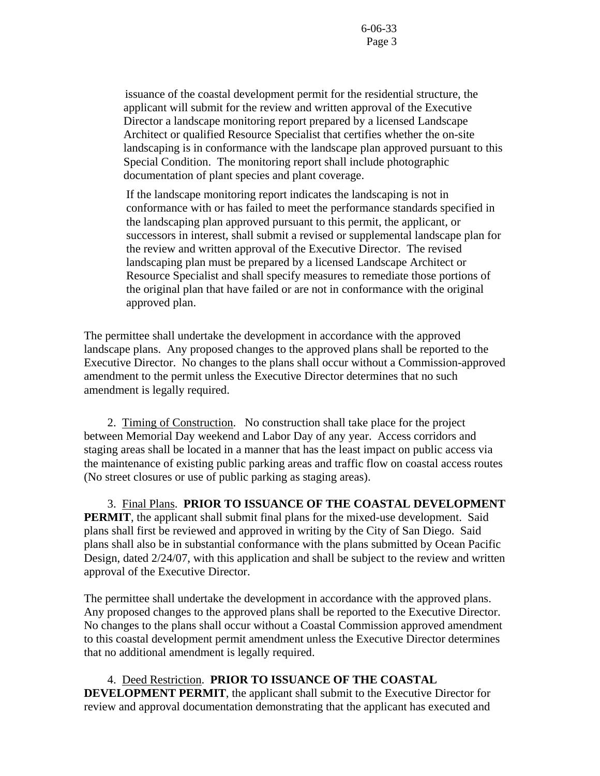issuance of the coastal development permit for the residential structure, the applicant will submit for the review and written approval of the Executive Director a landscape monitoring report prepared by a licensed Landscape Architect or qualified Resource Specialist that certifies whether the on-site landscaping is in conformance with the landscape plan approved pursuant to this Special Condition. The monitoring report shall include photographic documentation of plant species and plant coverage.

If the landscape monitoring report indicates the landscaping is not in conformance with or has failed to meet the performance standards specified in the landscaping plan approved pursuant to this permit, the applicant, or successors in interest, shall submit a revised or supplemental landscape plan for the review and written approval of the Executive Director. The revised landscaping plan must be prepared by a licensed Landscape Architect or Resource Specialist and shall specify measures to remediate those portions of the original plan that have failed or are not in conformance with the original approved plan.

The permittee shall undertake the development in accordance with the approved landscape plans. Any proposed changes to the approved plans shall be reported to the Executive Director. No changes to the plans shall occur without a Commission-approved amendment to the permit unless the Executive Director determines that no such amendment is legally required.

 2. Timing of Construction.No construction shall take place for the project between Memorial Day weekend and Labor Day of any year. Access corridors and staging areas shall be located in a manner that has the least impact on public access via the maintenance of existing public parking areas and traffic flow on coastal access routes (No street closures or use of public parking as staging areas).

 3. Final Plans. **PRIOR TO ISSUANCE OF THE COASTAL DEVELOPMENT PERMIT**, the applicant shall submit final plans for the mixed-use development. Said plans shall first be reviewed and approved in writing by the City of San Diego. Said plans shall also be in substantial conformance with the plans submitted by Ocean Pacific Design, dated 2/24/07, with this application and shall be subject to the review and written approval of the Executive Director.

The permittee shall undertake the development in accordance with the approved plans. Any proposed changes to the approved plans shall be reported to the Executive Director. No changes to the plans shall occur without a Coastal Commission approved amendment to this coastal development permit amendment unless the Executive Director determines that no additional amendment is legally required.

 4.Deed Restriction. **PRIOR TO ISSUANCE OF THE COASTAL DEVELOPMENT PERMIT**, the applicant shall submit to the Executive Director for review and approval documentation demonstrating that the applicant has executed and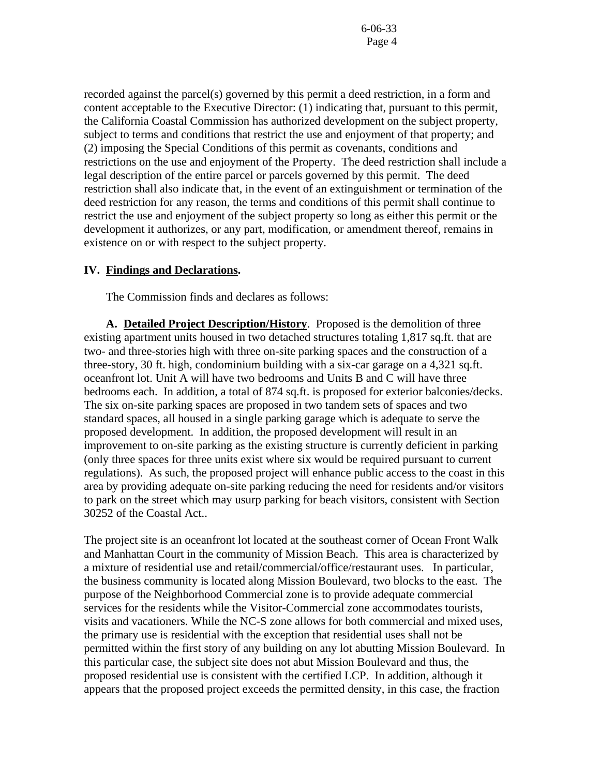recorded against the parcel(s) governed by this permit a deed restriction, in a form and content acceptable to the Executive Director: (1) indicating that, pursuant to this permit, the California Coastal Commission has authorized development on the subject property, subject to terms and conditions that restrict the use and enjoyment of that property; and (2) imposing the Special Conditions of this permit as covenants, conditions and restrictions on the use and enjoyment of the Property. The deed restriction shall include a legal description of the entire parcel or parcels governed by this permit. The deed restriction shall also indicate that, in the event of an extinguishment or termination of the deed restriction for any reason, the terms and conditions of this permit shall continue to restrict the use and enjoyment of the subject property so long as either this permit or the development it authorizes, or any part, modification, or amendment thereof, remains in existence on or with respect to the subject property.

#### **IV. Findings and Declarations.**

The Commission finds and declares as follows:

**A. Detailed Project Description/History**. Proposed is the demolition of three existing apartment units housed in two detached structures totaling 1,817 sq.ft. that are two- and three-stories high with three on-site parking spaces and the construction of a three-story, 30 ft. high, condominium building with a six-car garage on a 4,321 sq.ft. oceanfront lot. Unit A will have two bedrooms and Units B and C will have three bedrooms each. In addition, a total of 874 sq.ft. is proposed for exterior balconies/decks. The six on-site parking spaces are proposed in two tandem sets of spaces and two standard spaces, all housed in a single parking garage which is adequate to serve the proposed development. In addition, the proposed development will result in an improvement to on-site parking as the existing structure is currently deficient in parking (only three spaces for three units exist where six would be required pursuant to current regulations). As such, the proposed project will enhance public access to the coast in this area by providing adequate on-site parking reducing the need for residents and/or visitors to park on the street which may usurp parking for beach visitors, consistent with Section 30252 of the Coastal Act..

The project site is an oceanfront lot located at the southeast corner of Ocean Front Walk and Manhattan Court in the community of Mission Beach. This area is characterized by a mixture of residential use and retail/commercial/office/restaurant uses. In particular, the business community is located along Mission Boulevard, two blocks to the east. The purpose of the Neighborhood Commercial zone is to provide adequate commercial services for the residents while the Visitor-Commercial zone accommodates tourists, visits and vacationers. While the NC-S zone allows for both commercial and mixed uses, the primary use is residential with the exception that residential uses shall not be permitted within the first story of any building on any lot abutting Mission Boulevard. In this particular case, the subject site does not abut Mission Boulevard and thus, the proposed residential use is consistent with the certified LCP. In addition, although it appears that the proposed project exceeds the permitted density, in this case, the fraction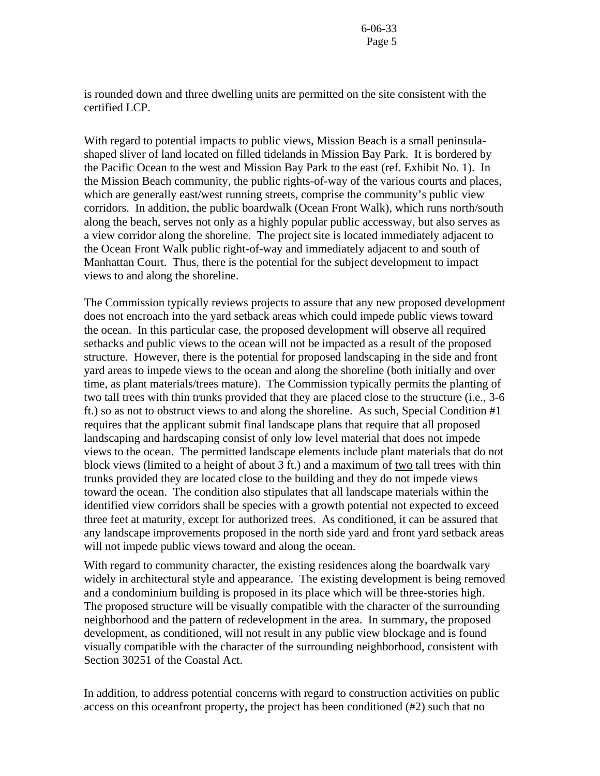is rounded down and three dwelling units are permitted on the site consistent with the certified LCP.

With regard to potential impacts to public views, Mission Beach is a small peninsulashaped sliver of land located on filled tidelands in Mission Bay Park. It is bordered by the Pacific Ocean to the west and Mission Bay Park to the east (ref. Exhibit No. 1). In the Mission Beach community, the public rights-of-way of the various courts and places, which are generally east/west running streets, comprise the community's public view corridors. In addition, the public boardwalk (Ocean Front Walk), which runs north/south along the beach, serves not only as a highly popular public accessway, but also serves as a view corridor along the shoreline. The project site is located immediately adjacent to the Ocean Front Walk public right-of-way and immediately adjacent to and south of Manhattan Court. Thus, there is the potential for the subject development to impact views to and along the shoreline.

The Commission typically reviews projects to assure that any new proposed development does not encroach into the yard setback areas which could impede public views toward the ocean. In this particular case, the proposed development will observe all required setbacks and public views to the ocean will not be impacted as a result of the proposed structure. However, there is the potential for proposed landscaping in the side and front yard areas to impede views to the ocean and along the shoreline (both initially and over time, as plant materials/trees mature). The Commission typically permits the planting of two tall trees with thin trunks provided that they are placed close to the structure (i.e., 3-6 ft.) so as not to obstruct views to and along the shoreline. As such, Special Condition #1 requires that the applicant submit final landscape plans that require that all proposed landscaping and hardscaping consist of only low level material that does not impede views to the ocean. The permitted landscape elements include plant materials that do not block views (limited to a height of about 3 ft.) and a maximum of two tall trees with thin trunks provided they are located close to the building and they do not impede views toward the ocean. The condition also stipulates that all landscape materials within the identified view corridors shall be species with a growth potential not expected to exceed three feet at maturity, except for authorized trees. As conditioned, it can be assured that any landscape improvements proposed in the north side yard and front yard setback areas will not impede public views toward and along the ocean.

With regard to community character, the existing residences along the boardwalk vary widely in architectural style and appearance. The existing development is being removed and a condominium building is proposed in its place which will be three-stories high. The proposed structure will be visually compatible with the character of the surrounding neighborhood and the pattern of redevelopment in the area. In summary, the proposed development, as conditioned, will not result in any public view blockage and is found visually compatible with the character of the surrounding neighborhood, consistent with Section 30251 of the Coastal Act.

In addition, to address potential concerns with regard to construction activities on public access on this oceanfront property, the project has been conditioned (#2) such that no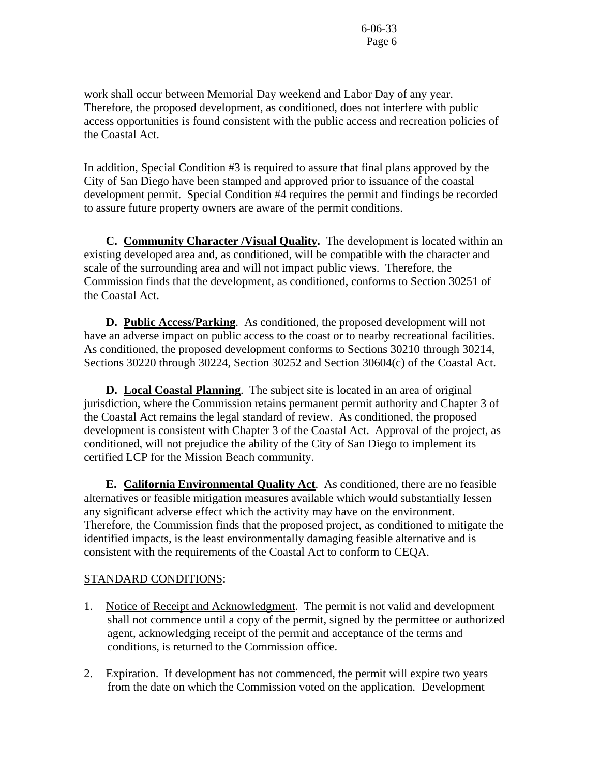work shall occur between Memorial Day weekend and Labor Day of any year. Therefore, the proposed development, as conditioned, does not interfere with public access opportunities is found consistent with the public access and recreation policies of the Coastal Act.

In addition, Special Condition #3 is required to assure that final plans approved by the City of San Diego have been stamped and approved prior to issuance of the coastal development permit. Special Condition #4 requires the permit and findings be recorded to assure future property owners are aware of the permit conditions.

 **C. Community Character /Visual Quality.** The development is located within an existing developed area and, as conditioned, will be compatible with the character and scale of the surrounding area and will not impact public views. Therefore, the Commission finds that the development, as conditioned, conforms to Section 30251 of the Coastal Act.

**D. Public Access/Parking**. As conditioned, the proposed development will not have an adverse impact on public access to the coast or to nearby recreational facilities. As conditioned, the proposed development conforms to Sections 30210 through 30214, Sections 30220 through 30224, Section 30252 and Section 30604(c) of the Coastal Act.

 **D. Local Coastal Planning**. The subject site is located in an area of original jurisdiction, where the Commission retains permanent permit authority and Chapter 3 of the Coastal Act remains the legal standard of review. As conditioned, the proposed development is consistent with Chapter 3 of the Coastal Act. Approval of the project, as conditioned, will not prejudice the ability of the City of San Diego to implement its certified LCP for the Mission Beach community.

 **E. California Environmental Quality Act**. As conditioned, there are no feasible alternatives or feasible mitigation measures available which would substantially lessen any significant adverse effect which the activity may have on the environment. Therefore, the Commission finds that the proposed project, as conditioned to mitigate the identified impacts, is the least environmentally damaging feasible alternative and is consistent with the requirements of the Coastal Act to conform to CEQA.

#### STANDARD CONDITIONS:

- 1. Notice of Receipt and Acknowledgment. The permit is not valid and development shall not commence until a copy of the permit, signed by the permittee or authorized agent, acknowledging receipt of the permit and acceptance of the terms and conditions, is returned to the Commission office.
- 2. Expiration. If development has not commenced, the permit will expire two years from the date on which the Commission voted on the application. Development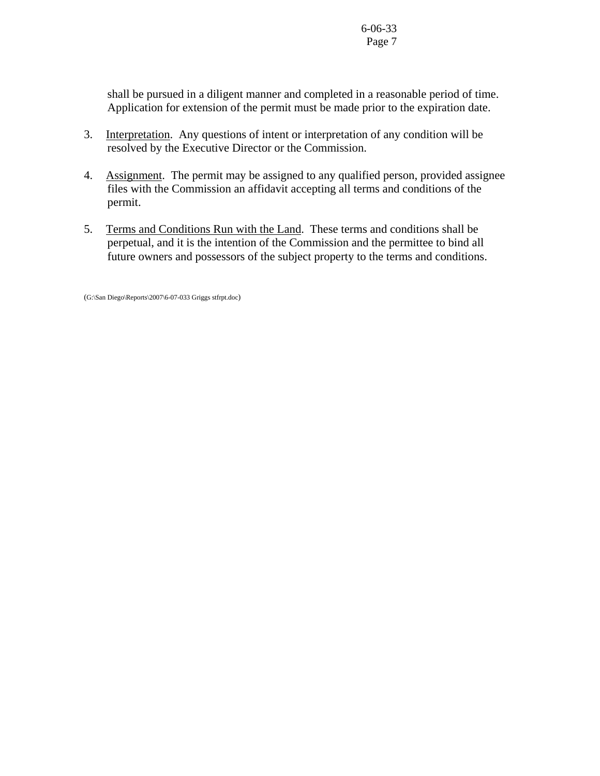shall be pursued in a diligent manner and completed in a reasonable period of time. Application for extension of the permit must be made prior to the expiration date.

- 3. Interpretation. Any questions of intent or interpretation of any condition will be resolved by the Executive Director or the Commission.
- 4. Assignment. The permit may be assigned to any qualified person, provided assignee files with the Commission an affidavit accepting all terms and conditions of the permit.
- 5. Terms and Conditions Run with the Land. These terms and conditions shall be perpetual, and it is the intention of the Commission and the permittee to bind all future owners and possessors of the subject property to the terms and conditions.

(G:\San Diego\Reports\2007\6-07-033 Griggs stfrpt.doc)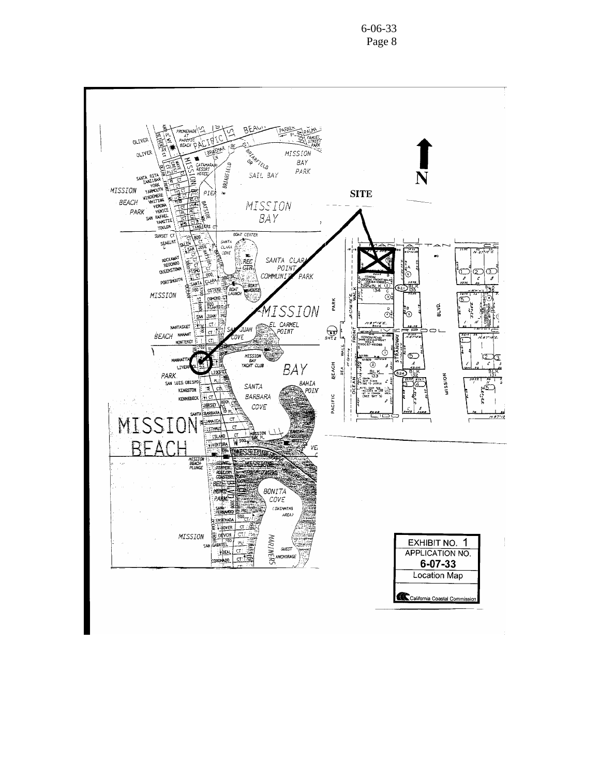**PROMENADE** ت ا **BEA ACTES** OLIVER **REARCTELO** MISSION OLIVER **BAY** BRIARFIELD PARK SAIL BAY SANTA MISSION **SITE** PIEA  $\rightarrow$ **WINDENERE** BEACH **B**<br>Ansiya MISSION ACH WEBRANT **YERONA BAY** îrke∙ **BOAT CENTER** -<br>SUNSET CT SEAGLRT SANTA CLIRA nga<br>Ba **VASS** .<br>covε  $\frac{R}{C}$ SANTA CLAR<br>POINT<br>COMMUNITY P. *ROCKAWA*<br>REDONOK<br>QUEENSTON  $\overline{\mathbb{C}}$  $\subset$  $\circledcirc$ ó ΡΑRΚ Nà  $\overline{\cdot}$  $\mathscr{E}$ **PORTSYOUT** بجير .<br>ANT **BOAT OSTEND** 700 MISSION **AUHCH**  $2.72 - 7.7$  $\rm \dot{\odot}$ o stennel ORMOND PARK **BOO<sub>NTIC</sub>** MISSION  $0.70$  $\sim$  $\odot^{\circ}_{\mathbb{S}}$ စိ **SAN JUAN** FL CARMEL<br>EL CARMEL<br>APOINT NANTASKET ż. 'ct  $\bigodot$ <sub>SHT2</sub> JUAN ΦL **BEACH** NAHANT  $7.6542$ **MONTERE** Ţ ١ MISSION  $\mathbb{C}$ 1C BEACH Õ Ĉ LIVER BAY **SEA**  $rac{B}{33}$ MISSION PARK. ρÚ. SAN LUIS. 0815PO BAHIA CURUM.:<br>SURF RIDER<br>DOC 73-192814 SANTA Ξ ले KINGSTON  $\cong$  point E: Laox Su<mark>s</mark><br>CLUSES IN UNE<br>T.IX COMMOR **BARBARA** PACIFIC KENNEBECK ₩α <u>ාසයක</u> COVE **BARBAR** MISSION **SELAMAICA LSTNM** ä **ISLAND BEACH VIVENTUR** VE, MISSION<br>BEACH<br>PLUNGE MASSING **ROLLE** ÉА **ZARKE** 8EL. **BONITA**  $COVE$ **CSWINNING** AREA) **ENSEN** HOVE сī MISSION **B**: DEVON CT) MARINERS EXHIBIT NO. 1 PU ASRIEL SN  $GUEST$  $+10.1$ **APPLICATION NO. INCHORAGE** corondo \_  $6 - 07 - 33$ **Location Map** California Coastal Commissie

6-06-33 Page 8